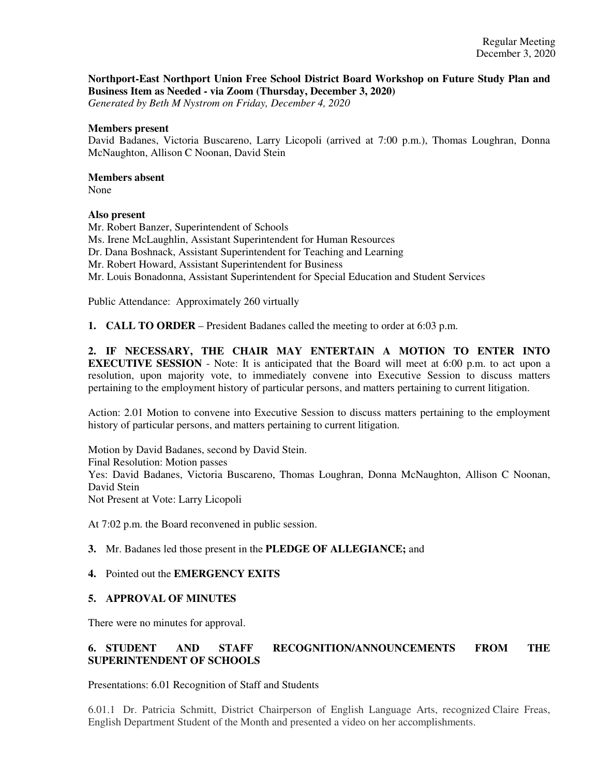# **Northport-East Northport Union Free School District Board Workshop on Future Study Plan and Business Item as Needed - via Zoom (Thursday, December 3, 2020)**

*Generated by Beth M Nystrom on Friday, December 4, 2020*

### **Members present**

David Badanes, Victoria Buscareno, Larry Licopoli (arrived at 7:00 p.m.), Thomas Loughran, Donna McNaughton, Allison C Noonan, David Stein

## **Members absent**

None

## **Also present**

Mr. Robert Banzer, Superintendent of Schools Ms. Irene McLaughlin, Assistant Superintendent for Human Resources Dr. Dana Boshnack, Assistant Superintendent for Teaching and Learning Mr. Robert Howard, Assistant Superintendent for Business Mr. Louis Bonadonna, Assistant Superintendent for Special Education and Student Services

Public Attendance: Approximately 260 virtually

**1. CALL TO ORDER** – President Badanes called the meeting to order at 6:03 p.m.

**2. IF NECESSARY, THE CHAIR MAY ENTERTAIN A MOTION TO ENTER INTO EXECUTIVE SESSION** - Note: It is anticipated that the Board will meet at 6:00 p.m. to act upon a resolution, upon majority vote, to immediately convene into Executive Session to discuss matters pertaining to the employment history of particular persons, and matters pertaining to current litigation.

Action: 2.01 Motion to convene into Executive Session to discuss matters pertaining to the employment history of particular persons, and matters pertaining to current litigation.

Motion by David Badanes, second by David Stein. Final Resolution: Motion passes Yes: David Badanes, Victoria Buscareno, Thomas Loughran, Donna McNaughton, Allison C Noonan, David Stein Not Present at Vote: Larry Licopoli

At 7:02 p.m. the Board reconvened in public session.

# **3.** Mr. Badanes led those present in the **PLEDGE OF ALLEGIANCE;** and

### **4.** Pointed out the **EMERGENCY EXITS**

# **5. APPROVAL OF MINUTES**

There were no minutes for approval.

# **6. STUDENT AND STAFF RECOGNITION/ANNOUNCEMENTS FROM THE SUPERINTENDENT OF SCHOOLS**

Presentations: 6.01 Recognition of Staff and Students

6.01.1 Dr. Patricia Schmitt, District Chairperson of English Language Arts, recognized Claire Freas, English Department Student of the Month and presented a video on her accomplishments.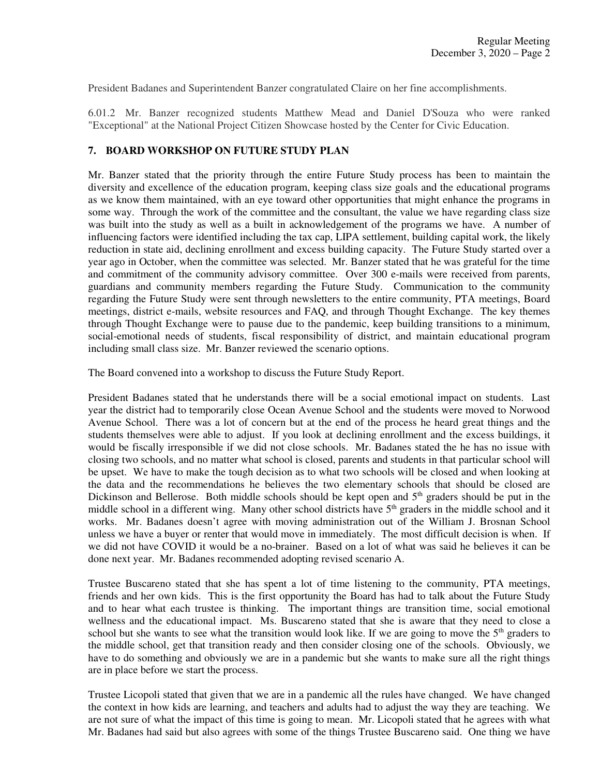President Badanes and Superintendent Banzer congratulated Claire on her fine accomplishments.

6.01.2 Mr. Banzer recognized students Matthew Mead and Daniel D'Souza who were ranked "Exceptional" at the National Project Citizen Showcase hosted by the Center for Civic Education.

# **7. BOARD WORKSHOP ON FUTURE STUDY PLAN**

Mr. Banzer stated that the priority through the entire Future Study process has been to maintain the diversity and excellence of the education program, keeping class size goals and the educational programs as we know them maintained, with an eye toward other opportunities that might enhance the programs in some way. Through the work of the committee and the consultant, the value we have regarding class size was built into the study as well as a built in acknowledgement of the programs we have. A number of influencing factors were identified including the tax cap, LIPA settlement, building capital work, the likely reduction in state aid, declining enrollment and excess building capacity. The Future Study started over a year ago in October, when the committee was selected. Mr. Banzer stated that he was grateful for the time and commitment of the community advisory committee. Over 300 e-mails were received from parents, guardians and community members regarding the Future Study. Communication to the community regarding the Future Study were sent through newsletters to the entire community, PTA meetings, Board meetings, district e-mails, website resources and FAQ, and through Thought Exchange. The key themes through Thought Exchange were to pause due to the pandemic, keep building transitions to a minimum, social-emotional needs of students, fiscal responsibility of district, and maintain educational program including small class size. Mr. Banzer reviewed the scenario options.

The Board convened into a workshop to discuss the Future Study Report.

President Badanes stated that he understands there will be a social emotional impact on students. Last year the district had to temporarily close Ocean Avenue School and the students were moved to Norwood Avenue School. There was a lot of concern but at the end of the process he heard great things and the students themselves were able to adjust. If you look at declining enrollment and the excess buildings, it would be fiscally irresponsible if we did not close schools. Mr. Badanes stated the he has no issue with closing two schools, and no matter what school is closed, parents and students in that particular school will be upset. We have to make the tough decision as to what two schools will be closed and when looking at the data and the recommendations he believes the two elementary schools that should be closed are Dickinson and Bellerose. Both middle schools should be kept open and 5<sup>th</sup> graders should be put in the middle school in a different wing. Many other school districts have 5<sup>th</sup> graders in the middle school and it works. Mr. Badanes doesn't agree with moving administration out of the William J. Brosnan School unless we have a buyer or renter that would move in immediately. The most difficult decision is when. If we did not have COVID it would be a no-brainer. Based on a lot of what was said he believes it can be done next year. Mr. Badanes recommended adopting revised scenario A.

Trustee Buscareno stated that she has spent a lot of time listening to the community, PTA meetings, friends and her own kids. This is the first opportunity the Board has had to talk about the Future Study and to hear what each trustee is thinking. The important things are transition time, social emotional wellness and the educational impact. Ms. Buscareno stated that she is aware that they need to close a school but she wants to see what the transition would look like. If we are going to move the  $5<sup>th</sup>$  graders to the middle school, get that transition ready and then consider closing one of the schools. Obviously, we have to do something and obviously we are in a pandemic but she wants to make sure all the right things are in place before we start the process.

Trustee Licopoli stated that given that we are in a pandemic all the rules have changed. We have changed the context in how kids are learning, and teachers and adults had to adjust the way they are teaching. We are not sure of what the impact of this time is going to mean. Mr. Licopoli stated that he agrees with what Mr. Badanes had said but also agrees with some of the things Trustee Buscareno said. One thing we have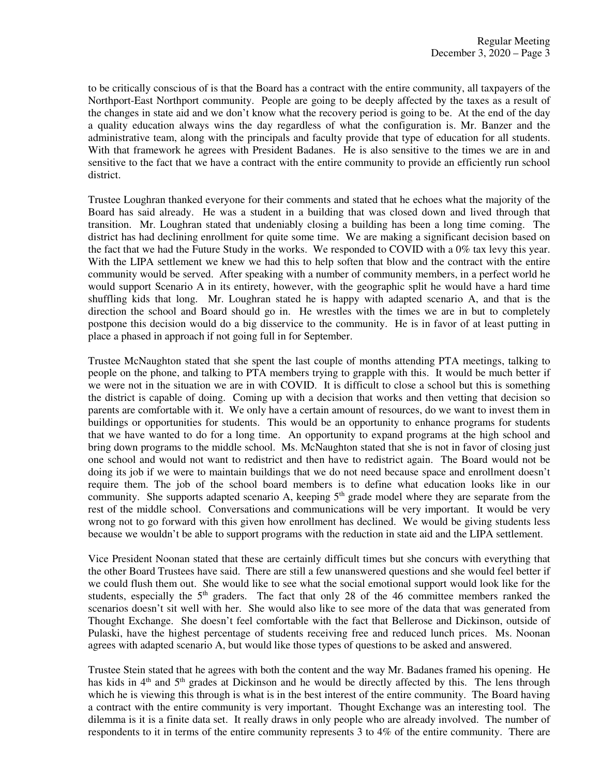to be critically conscious of is that the Board has a contract with the entire community, all taxpayers of the Northport-East Northport community. People are going to be deeply affected by the taxes as a result of the changes in state aid and we don't know what the recovery period is going to be. At the end of the day a quality education always wins the day regardless of what the configuration is. Mr. Banzer and the administrative team, along with the principals and faculty provide that type of education for all students. With that framework he agrees with President Badanes. He is also sensitive to the times we are in and sensitive to the fact that we have a contract with the entire community to provide an efficiently run school district.

Trustee Loughran thanked everyone for their comments and stated that he echoes what the majority of the Board has said already. He was a student in a building that was closed down and lived through that transition. Mr. Loughran stated that undeniably closing a building has been a long time coming. The district has had declining enrollment for quite some time. We are making a significant decision based on the fact that we had the Future Study in the works. We responded to COVID with a 0% tax levy this year. With the LIPA settlement we knew we had this to help soften that blow and the contract with the entire community would be served. After speaking with a number of community members, in a perfect world he would support Scenario A in its entirety, however, with the geographic split he would have a hard time shuffling kids that long. Mr. Loughran stated he is happy with adapted scenario A, and that is the direction the school and Board should go in. He wrestles with the times we are in but to completely postpone this decision would do a big disservice to the community. He is in favor of at least putting in place a phased in approach if not going full in for September.

Trustee McNaughton stated that she spent the last couple of months attending PTA meetings, talking to people on the phone, and talking to PTA members trying to grapple with this. It would be much better if we were not in the situation we are in with COVID. It is difficult to close a school but this is something the district is capable of doing. Coming up with a decision that works and then vetting that decision so parents are comfortable with it. We only have a certain amount of resources, do we want to invest them in buildings or opportunities for students. This would be an opportunity to enhance programs for students that we have wanted to do for a long time. An opportunity to expand programs at the high school and bring down programs to the middle school. Ms. McNaughton stated that she is not in favor of closing just one school and would not want to redistrict and then have to redistrict again. The Board would not be doing its job if we were to maintain buildings that we do not need because space and enrollment doesn't require them. The job of the school board members is to define what education looks like in our community. She supports adapted scenario A, keeping  $5<sup>th</sup>$  grade model where they are separate from the rest of the middle school. Conversations and communications will be very important. It would be very wrong not to go forward with this given how enrollment has declined. We would be giving students less because we wouldn't be able to support programs with the reduction in state aid and the LIPA settlement.

Vice President Noonan stated that these are certainly difficult times but she concurs with everything that the other Board Trustees have said. There are still a few unanswered questions and she would feel better if we could flush them out. She would like to see what the social emotional support would look like for the students, especially the  $5<sup>th</sup>$  graders. The fact that only 28 of the 46 committee members ranked the scenarios doesn't sit well with her. She would also like to see more of the data that was generated from Thought Exchange. She doesn't feel comfortable with the fact that Bellerose and Dickinson, outside of Pulaski, have the highest percentage of students receiving free and reduced lunch prices. Ms. Noonan agrees with adapted scenario A, but would like those types of questions to be asked and answered.

Trustee Stein stated that he agrees with both the content and the way Mr. Badanes framed his opening. He has kids in  $4<sup>th</sup>$  and  $5<sup>th</sup>$  grades at Dickinson and he would be directly affected by this. The lens through which he is viewing this through is what is in the best interest of the entire community. The Board having a contract with the entire community is very important. Thought Exchange was an interesting tool. The dilemma is it is a finite data set. It really draws in only people who are already involved. The number of respondents to it in terms of the entire community represents 3 to 4% of the entire community. There are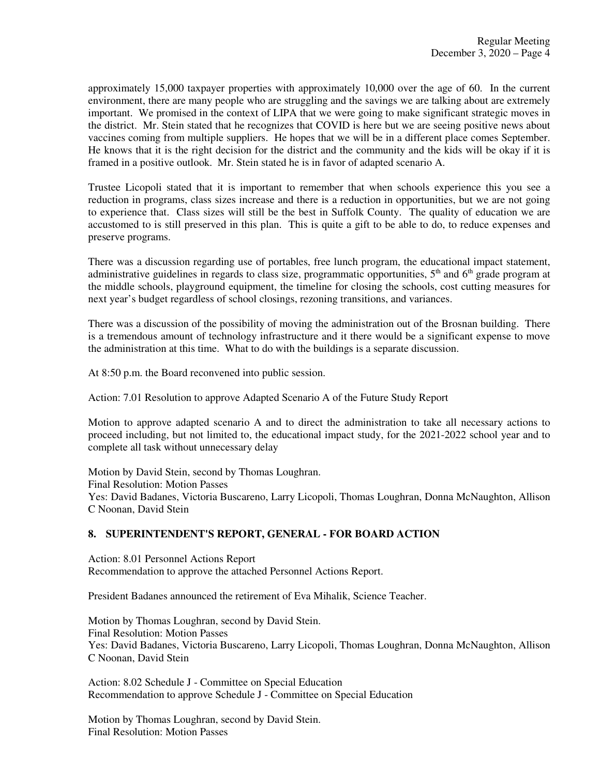approximately 15,000 taxpayer properties with approximately 10,000 over the age of 60. In the current environment, there are many people who are struggling and the savings we are talking about are extremely important. We promised in the context of LIPA that we were going to make significant strategic moves in the district. Mr. Stein stated that he recognizes that COVID is here but we are seeing positive news about vaccines coming from multiple suppliers. He hopes that we will be in a different place comes September. He knows that it is the right decision for the district and the community and the kids will be okay if it is framed in a positive outlook. Mr. Stein stated he is in favor of adapted scenario A.

Trustee Licopoli stated that it is important to remember that when schools experience this you see a reduction in programs, class sizes increase and there is a reduction in opportunities, but we are not going to experience that. Class sizes will still be the best in Suffolk County. The quality of education we are accustomed to is still preserved in this plan. This is quite a gift to be able to do, to reduce expenses and preserve programs.

There was a discussion regarding use of portables, free lunch program, the educational impact statement, administrative guidelines in regards to class size, programmatic opportunities,  $5<sup>th</sup>$  and  $6<sup>th</sup>$  grade program at the middle schools, playground equipment, the timeline for closing the schools, cost cutting measures for next year's budget regardless of school closings, rezoning transitions, and variances.

There was a discussion of the possibility of moving the administration out of the Brosnan building. There is a tremendous amount of technology infrastructure and it there would be a significant expense to move the administration at this time. What to do with the buildings is a separate discussion.

At 8:50 p.m. the Board reconvened into public session.

Action: 7.01 Resolution to approve Adapted Scenario A of the Future Study Report

Motion to approve adapted scenario A and to direct the administration to take all necessary actions to proceed including, but not limited to, the educational impact study, for the 2021-2022 school year and to complete all task without unnecessary delay

Motion by David Stein, second by Thomas Loughran. Final Resolution: Motion Passes Yes: David Badanes, Victoria Buscareno, Larry Licopoli, Thomas Loughran, Donna McNaughton, Allison C Noonan, David Stein

# **8. SUPERINTENDENT'S REPORT, GENERAL - FOR BOARD ACTION**

Action: 8.01 Personnel Actions Report Recommendation to approve the attached Personnel Actions Report.

President Badanes announced the retirement of Eva Mihalik, Science Teacher.

Motion by Thomas Loughran, second by David Stein. Final Resolution: Motion Passes Yes: David Badanes, Victoria Buscareno, Larry Licopoli, Thomas Loughran, Donna McNaughton, Allison C Noonan, David Stein

Action: 8.02 Schedule J - Committee on Special Education Recommendation to approve Schedule J - Committee on Special Education

Motion by Thomas Loughran, second by David Stein. Final Resolution: Motion Passes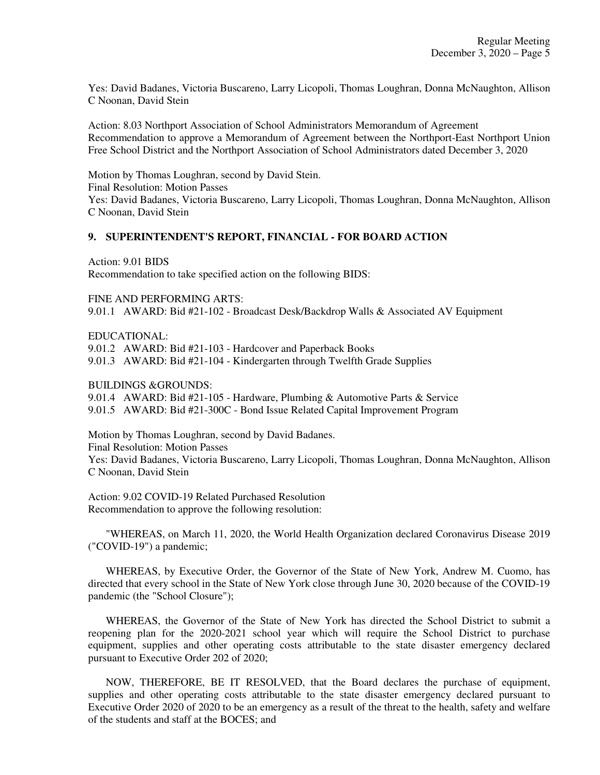Yes: David Badanes, Victoria Buscareno, Larry Licopoli, Thomas Loughran, Donna McNaughton, Allison C Noonan, David Stein

Action: 8.03 Northport Association of School Administrators Memorandum of Agreement Recommendation to approve a Memorandum of Agreement between the Northport-East Northport Union Free School District and the Northport Association of School Administrators dated December 3, 2020

Motion by Thomas Loughran, second by David Stein. Final Resolution: Motion Passes Yes: David Badanes, Victoria Buscareno, Larry Licopoli, Thomas Loughran, Donna McNaughton, Allison C Noonan, David Stein

## **9. SUPERINTENDENT'S REPORT, FINANCIAL - FOR BOARD ACTION**

Action: 9.01 BIDS Recommendation to take specified action on the following BIDS:

FINE AND PERFORMING ARTS:

9.01.1 AWARD: Bid #21-102 - Broadcast Desk/Backdrop Walls & Associated AV Equipment

EDUCATIONAL:

9.01.2 AWARD: Bid #21-103 - Hardcover and Paperback Books 9.01.3 AWARD: Bid #21-104 - Kindergarten through Twelfth Grade Supplies

BUILDINGS &GROUNDS:

9.01.4 AWARD: Bid #21-105 - Hardware, Plumbing & Automotive Parts & Service 9.01.5 AWARD: Bid #21-300C - Bond Issue Related Capital Improvement Program

Motion by Thomas Loughran, second by David Badanes. Final Resolution: Motion Passes Yes: David Badanes, Victoria Buscareno, Larry Licopoli, Thomas Loughran, Donna McNaughton, Allison C Noonan, David Stein

Action: 9.02 COVID-19 Related Purchased Resolution Recommendation to approve the following resolution:

 "WHEREAS, on March 11, 2020, the World Health Organization declared Coronavirus Disease 2019 ("COVID-19") a pandemic;

 WHEREAS, by Executive Order, the Governor of the State of New York, Andrew M. Cuomo, has directed that every school in the State of New York close through June 30, 2020 because of the COVID-19 pandemic (the "School Closure");

 WHEREAS, the Governor of the State of New York has directed the School District to submit a reopening plan for the 2020-2021 school year which will require the School District to purchase equipment, supplies and other operating costs attributable to the state disaster emergency declared pursuant to Executive Order 202 of 2020;

 NOW, THEREFORE, BE IT RESOLVED, that the Board declares the purchase of equipment, supplies and other operating costs attributable to the state disaster emergency declared pursuant to Executive Order 2020 of 2020 to be an emergency as a result of the threat to the health, safety and welfare of the students and staff at the BOCES; and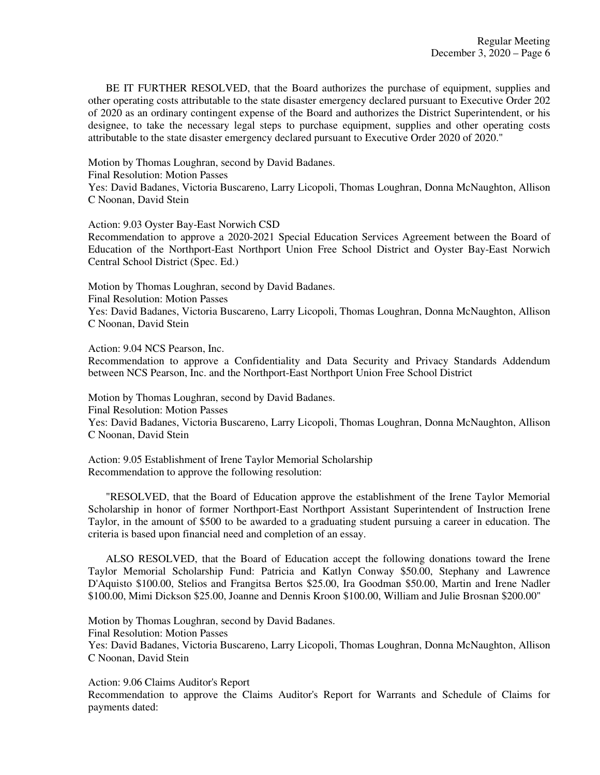BE IT FURTHER RESOLVED, that the Board authorizes the purchase of equipment, supplies and other operating costs attributable to the state disaster emergency declared pursuant to Executive Order 202 of 2020 as an ordinary contingent expense of the Board and authorizes the District Superintendent, or his designee, to take the necessary legal steps to purchase equipment, supplies and other operating costs attributable to the state disaster emergency declared pursuant to Executive Order 2020 of 2020."

Motion by Thomas Loughran, second by David Badanes.

Final Resolution: Motion Passes

Yes: David Badanes, Victoria Buscareno, Larry Licopoli, Thomas Loughran, Donna McNaughton, Allison C Noonan, David Stein

Action: 9.03 Oyster Bay-East Norwich CSD

Recommendation to approve a 2020-2021 Special Education Services Agreement between the Board of Education of the Northport-East Northport Union Free School District and Oyster Bay-East Norwich Central School District (Spec. Ed.)

Motion by Thomas Loughran, second by David Badanes. Final Resolution: Motion Passes

Yes: David Badanes, Victoria Buscareno, Larry Licopoli, Thomas Loughran, Donna McNaughton, Allison C Noonan, David Stein

Action: 9.04 NCS Pearson, Inc.

Recommendation to approve a Confidentiality and Data Security and Privacy Standards Addendum between NCS Pearson, Inc. and the Northport-East Northport Union Free School District

Motion by Thomas Loughran, second by David Badanes.

Final Resolution: Motion Passes

Yes: David Badanes, Victoria Buscareno, Larry Licopoli, Thomas Loughran, Donna McNaughton, Allison C Noonan, David Stein

Action: 9.05 Establishment of Irene Taylor Memorial Scholarship Recommendation to approve the following resolution:

 "RESOLVED, that the Board of Education approve the establishment of the Irene Taylor Memorial Scholarship in honor of former Northport-East Northport Assistant Superintendent of Instruction Irene Taylor, in the amount of \$500 to be awarded to a graduating student pursuing a career in education. The criteria is based upon financial need and completion of an essay.

 ALSO RESOLVED, that the Board of Education accept the following donations toward the Irene Taylor Memorial Scholarship Fund: Patricia and Katlyn Conway \$50.00, Stephany and Lawrence D'Aquisto \$100.00, Stelios and Frangitsa Bertos \$25.00, Ira Goodman \$50.00, Martin and Irene Nadler \$100.00, Mimi Dickson \$25.00, Joanne and Dennis Kroon \$100.00, William and Julie Brosnan \$200.00"

Motion by Thomas Loughran, second by David Badanes.

Final Resolution: Motion Passes

Yes: David Badanes, Victoria Buscareno, Larry Licopoli, Thomas Loughran, Donna McNaughton, Allison C Noonan, David Stein

Action: 9.06 Claims Auditor's Report

Recommendation to approve the Claims Auditor's Report for Warrants and Schedule of Claims for payments dated: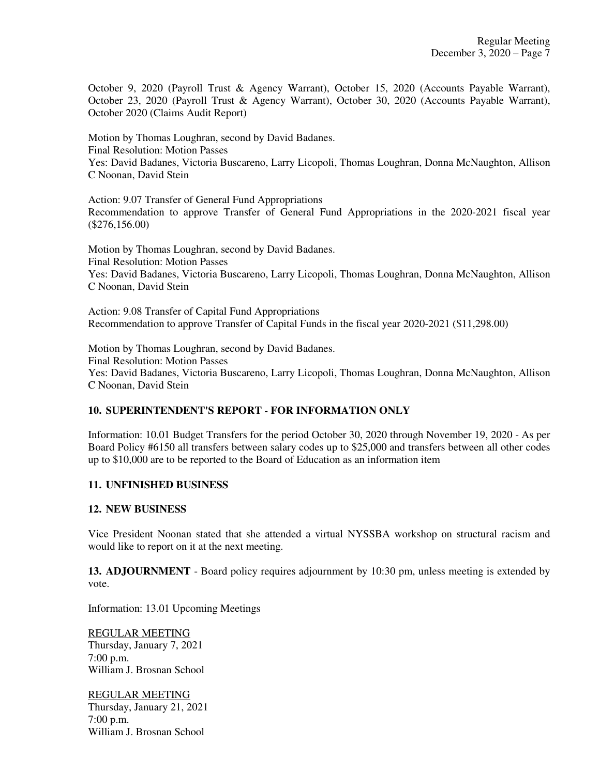October 9, 2020 (Payroll Trust & Agency Warrant), October 15, 2020 (Accounts Payable Warrant), October 23, 2020 (Payroll Trust & Agency Warrant), October 30, 2020 (Accounts Payable Warrant), October 2020 (Claims Audit Report)

Motion by Thomas Loughran, second by David Badanes. Final Resolution: Motion Passes Yes: David Badanes, Victoria Buscareno, Larry Licopoli, Thomas Loughran, Donna McNaughton, Allison C Noonan, David Stein

Action: 9.07 Transfer of General Fund Appropriations Recommendation to approve Transfer of General Fund Appropriations in the 2020-2021 fiscal year (\$276,156.00)

Motion by Thomas Loughran, second by David Badanes. Final Resolution: Motion Passes Yes: David Badanes, Victoria Buscareno, Larry Licopoli, Thomas Loughran, Donna McNaughton, Allison C Noonan, David Stein

Action: 9.08 Transfer of Capital Fund Appropriations Recommendation to approve Transfer of Capital Funds in the fiscal year 2020-2021 (\$11,298.00)

Motion by Thomas Loughran, second by David Badanes. Final Resolution: Motion Passes Yes: David Badanes, Victoria Buscareno, Larry Licopoli, Thomas Loughran, Donna McNaughton, Allison C Noonan, David Stein

# **10. SUPERINTENDENT'S REPORT - FOR INFORMATION ONLY**

Information: 10.01 Budget Transfers for the period October 30, 2020 through November 19, 2020 - As per Board Policy #6150 all transfers between salary codes up to \$25,000 and transfers between all other codes up to \$10,000 are to be reported to the Board of Education as an information item

# **11. UNFINISHED BUSINESS**

### **12. NEW BUSINESS**

Vice President Noonan stated that she attended a virtual NYSSBA workshop on structural racism and would like to report on it at the next meeting.

**13. ADJOURNMENT** - Board policy requires adjournment by 10:30 pm, unless meeting is extended by vote.

Information: 13.01 Upcoming Meetings

REGULAR MEETING Thursday, January 7, 2021 7:00 p.m. William J. Brosnan School

REGULAR MEETING Thursday, January 21, 2021 7:00 p.m. William J. Brosnan School